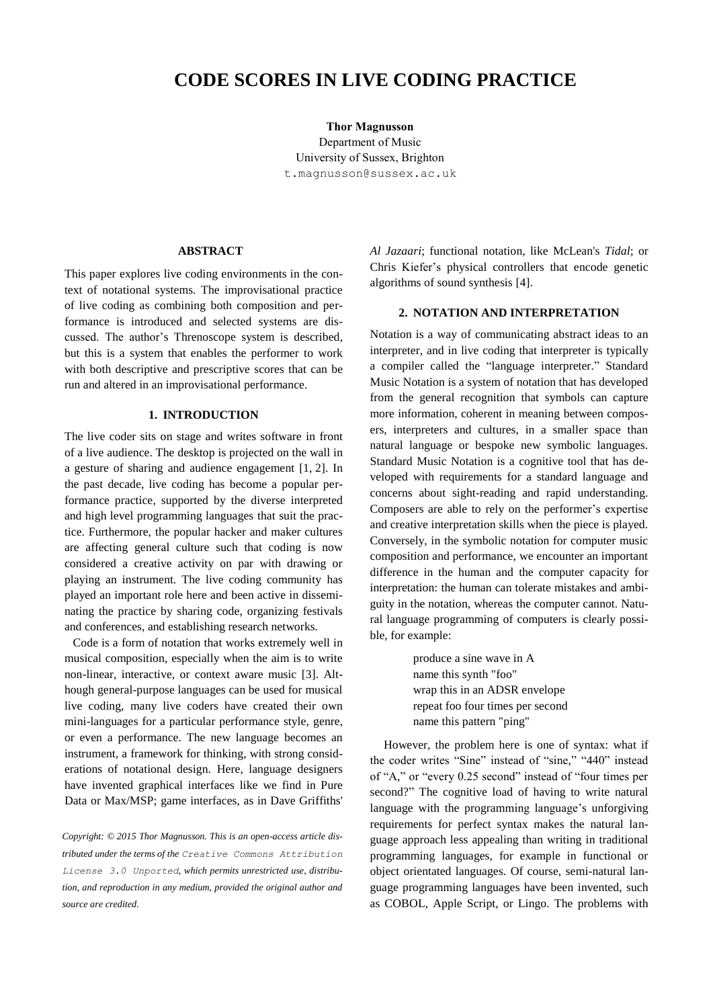# **CODE SCORES IN LIVE CODING PRACTICE**

**Thor Magnusson** Department of Music University of Sussex, Brighton t.magnusson@sussex.ac.uk

#### **ABSTRACT**

This paper explores live coding environments in the context of notational systems. The improvisational practice of live coding as combining both composition and performance is introduced and selected systems are discussed. The author's Threnoscope system is described, but this is a system that enables the performer to work with both descriptive and prescriptive scores that can be run and altered in an improvisational performance.

# **1. INTRODUCTION**

The live coder sits on stage and writes software in front of a live audience. The desktop is projected on the wall in a gesture of sharing and audience engagement [1, 2]. In the past decade, live coding has become a popular performance practice, supported by the diverse interpreted and high level programming languages that suit the practice. Furthermore, the popular hacker and maker cultures are affecting general culture such that coding is now considered a creative activity on par with drawing or playing an instrument. The live coding community has played an important role here and been active in disseminating the practice by sharing code, organizing festivals and conferences, and establishing research networks.

Code is a form of notation that works extremely well in musical composition, especially when the aim is to write non-linear, interactive, or context aware music [3]. Although general-purpose languages can be used for musical live coding, many live coders have created their own mini-languages for a particular performance style, genre, or even a performance. The new language becomes an instrument, a framework for thinking, with strong considerations of notational design. Here, language designers have invented graphical interfaces like we find in Pure Data or Max/MSP; game interfaces, as in Dave Griffiths'

*Copyright: © 2015 Thor Magnusson. This is an open-access article distributed under the terms of the [Creative Commons Attribution](http://creativecommons.org/licenses/by/3.0/)  [License 3.0 Unported](http://creativecommons.org/licenses/by/3.0/), which permits unrestricted use, distribution, and reproduction in any medium, provided the original author and source are credited.*

*Al Jazaari*; functional notation, like McLean's *Tidal*; or Chris Kiefer's physical controllers that encode genetic algorithms of sound synthesis [4].

## **2. NOTATION AND INTERPRETATION**

Notation is a way of communicating abstract ideas to an interpreter, and in live coding that interpreter is typically a compiler called the "language interpreter." Standard Music Notation is a system of notation that has developed from the general recognition that symbols can capture more information, coherent in meaning between composers, interpreters and cultures, in a smaller space than natural language or bespoke new symbolic languages. Standard Music Notation is a cognitive tool that has developed with requirements for a standard language and concerns about sight-reading and rapid understanding. Composers are able to rely on the performer's expertise and creative interpretation skills when the piece is played. Conversely, in the symbolic notation for computer music composition and performance, we encounter an important difference in the human and the computer capacity for interpretation: the human can tolerate mistakes and ambiguity in the notation, whereas the computer cannot. Natural language programming of computers is clearly possible, for example:

> produce a sine wave in A name this synth "foo" wrap this in an ADSR envelope repeat foo four times per second name this pattern "ping"

However, the problem here is one of syntax: what if the coder writes "Sine" instead of "sine," "440" instead of "A," or "every 0.25 second" instead of "four times per second?" The cognitive load of having to write natural language with the programming language's unforgiving requirements for perfect syntax makes the natural language approach less appealing than writing in traditional programming languages, for example in functional or object orientated languages. Of course, semi-natural language programming languages have been invented, such as COBOL, Apple Script, or Lingo. The problems with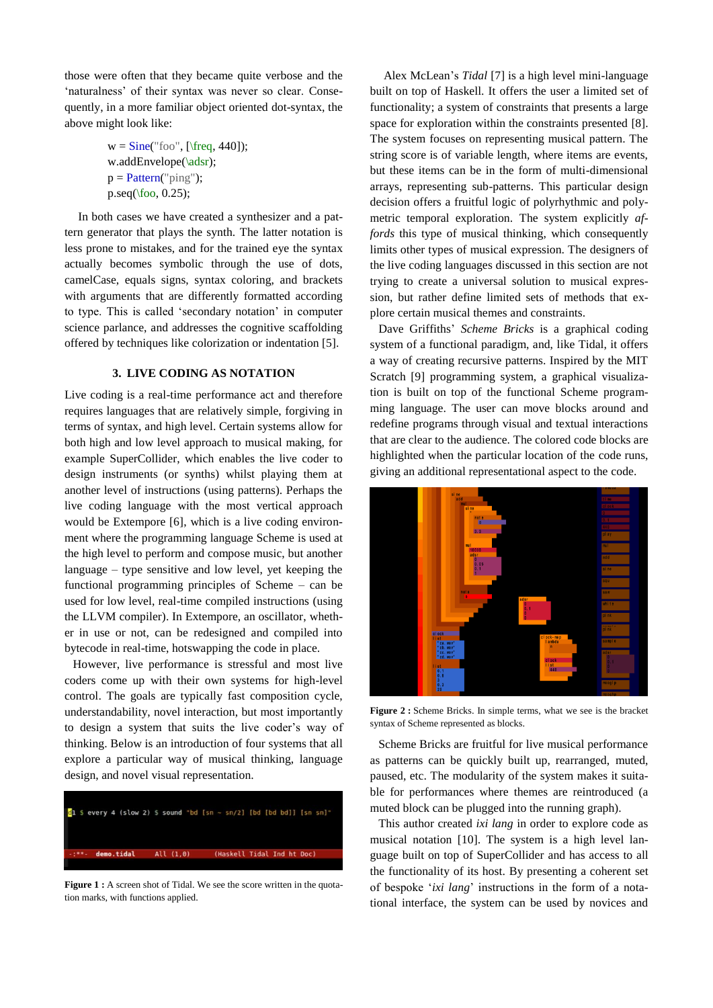those were often that they became quite verbose and the 'naturalness' of their syntax was never so clear. Consequently, in a more familiar object oriented dot-syntax, the above might look like:

$$
w = Sine("foo", [\frac{440]);
$$
  
w.addEnvelope(\adsr);  

$$
p = Pattern("ping");
$$
  

$$
p.seq(\text{foo}, 0.25);
$$

In both cases we have created a synthesizer and a pattern generator that plays the synth. The latter notation is less prone to mistakes, and for the trained eye the syntax actually becomes symbolic through the use of dots, camelCase, equals signs, syntax coloring, and brackets with arguments that are differently formatted according to type. This is called 'secondary notation' in computer science parlance, and addresses the cognitive scaffolding offered by techniques like colorization or indentation [5].

# **3. LIVE CODING AS NOTATION**

Live coding is a real-time performance act and therefore requires languages that are relatively simple, forgiving in terms of syntax, and high level. Certain systems allow for both high and low level approach to musical making, for example SuperCollider, which enables the live coder to design instruments (or synths) whilst playing them at another level of instructions (using patterns). Perhaps the live coding language with the most vertical approach would be Extempore [6], which is a live coding environment where the programming language Scheme is used at the high level to perform and compose music, but another language – type sensitive and low level, yet keeping the functional programming principles of Scheme – can be used for low level, real-time compiled instructions (using the LLVM compiler). In Extempore, an oscillator, whether in use or not, can be redesigned and compiled into bytecode in real-time, hotswapping the code in place.

However, live performance is stressful and most live coders come up with their own systems for high-level control. The goals are typically fast composition cycle, understandability, novel interaction, but most importantly to design a system that suits the live coder's way of thinking. Below is an introduction of four systems that all explore a particular way of musical thinking, language design, and novel visual representation.



**Figure 1 :** A screen shot of Tidal. We see the score written in the quotation marks, with functions applied.

Alex McLean's *Tidal* [7] is a high level mini-language built on top of Haskell. It offers the user a limited set of functionality; a system of constraints that presents a large space for exploration within the constraints presented [8]. The system focuses on representing musical pattern. The string score is of variable length, where items are events, but these items can be in the form of multi-dimensional arrays, representing sub-patterns. This particular design decision offers a fruitful logic of polyrhythmic and polymetric temporal exploration. The system explicitly *affords* this type of musical thinking, which consequently limits other types of musical expression. The designers of the live coding languages discussed in this section are not trying to create a universal solution to musical expression, but rather define limited sets of methods that explore certain musical themes and constraints.

Dave Griffiths' *Scheme Bricks* is a graphical coding system of a functional paradigm, and, like Tidal, it offers a way of creating recursive patterns. Inspired by the MIT Scratch [9] programming system, a graphical visualization is built on top of the functional Scheme programming language. The user can move blocks around and redefine programs through visual and textual interactions that are clear to the audience. The colored code blocks are highlighted when the particular location of the code runs, giving an additional representational aspect to the code.



**Figure 2 :** Scheme Bricks. In simple terms, what we see is the bracket syntax of Scheme represented as blocks.

Scheme Bricks are fruitful for live musical performance as patterns can be quickly built up, rearranged, muted, paused, etc. The modularity of the system makes it suitable for performances where themes are reintroduced (a muted block can be plugged into the running graph).

This author created *ixi lang* in order to explore code as musical notation [10]. The system is a high level language built on top of SuperCollider and has access to all the functionality of its host. By presenting a coherent set of bespoke '*ixi lang*' instructions in the form of a notational interface, the system can be used by novices and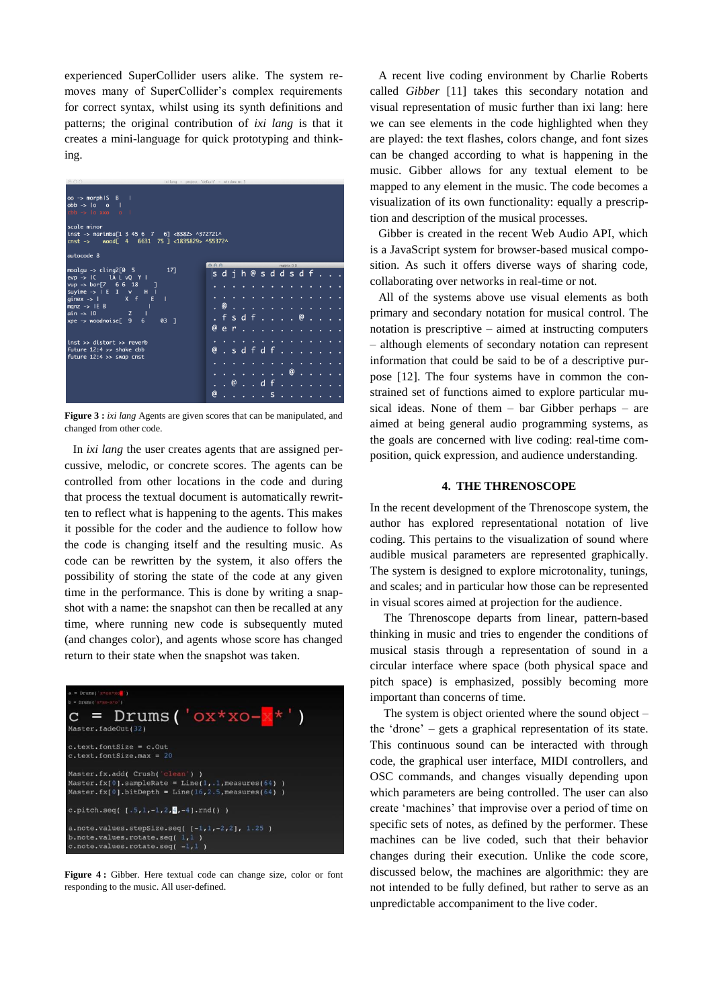experienced SuperCollider users alike. The system removes many of SuperCollider's complex requirements for correct syntax, whilst using its synth definitions and patterns; the original contribution of *ixi lang* is that it creates a mini-language for quick prototyping and thinking.



**Figure 3 :** *ixi lang* Agents are given scores that can be manipulated, and changed from other code.

In *ixi lang* the user creates agents that are assigned percussive, melodic, or concrete scores. The agents can be controlled from other locations in the code and during that process the textual document is automatically rewritten to reflect what is happening to the agents. This makes it possible for the coder and the audience to follow how the code is changing itself and the resulting music. As code can be rewritten by the system, it also offers the possibility of storing the state of the code at any given time in the performance. This is done by writing a snapshot with a name: the snapshot can then be recalled at any time, where running new code is subsequently muted (and changes color), and agents whose score has changed return to their state when the snapshot was taken.



**Figure 4 :** Gibber. Here textual code can change size, color or font responding to the music. All user-defined.

A recent live coding environment by Charlie Roberts called *Gibber* [11] takes this secondary notation and visual representation of music further than ixi lang: here we can see elements in the code highlighted when they are played: the text flashes, colors change, and font sizes can be changed according to what is happening in the music. Gibber allows for any textual element to be mapped to any element in the music. The code becomes a visualization of its own functionality: equally a prescription and description of the musical processes.

Gibber is created in the recent Web Audio API, which is a JavaScript system for browser-based musical composition. As such it offers diverse ways of sharing code, collaborating over networks in real-time or not.

All of the systems above use visual elements as both primary and secondary notation for musical control. The notation is prescriptive – aimed at instructing computers – although elements of secondary notation can represent information that could be said to be of a descriptive purpose [12]. The four systems have in common the constrained set of functions aimed to explore particular musical ideas. None of them – bar Gibber perhaps – are aimed at being general audio programming systems, as the goals are concerned with live coding: real-time composition, quick expression, and audience understanding.

#### **4. THE THRENOSCOPE**

In the recent development of the Threnoscope system, the author has explored representational notation of live coding. This pertains to the visualization of sound where audible musical parameters are represented graphically. The system is designed to explore microtonality, tunings, and scales; and in particular how those can be represented in visual scores aimed at projection for the audience.

The Threnoscope departs from linear, pattern-based thinking in music and tries to engender the conditions of musical stasis through a representation of sound in a circular interface where space (both physical space and pitch space) is emphasized, possibly becoming more important than concerns of time.

The system is object oriented where the sound object – the 'drone' – gets a graphical representation of its state. This continuous sound can be interacted with through code, the graphical user interface, MIDI controllers, and OSC commands, and changes visually depending upon which parameters are being controlled. The user can also create 'machines' that improvise over a period of time on specific sets of notes, as defined by the performer. These machines can be live coded, such that their behavior changes during their execution. Unlike the code score, discussed below, the machines are algorithmic: they are not intended to be fully defined, but rather to serve as an unpredictable accompaniment to the live coder.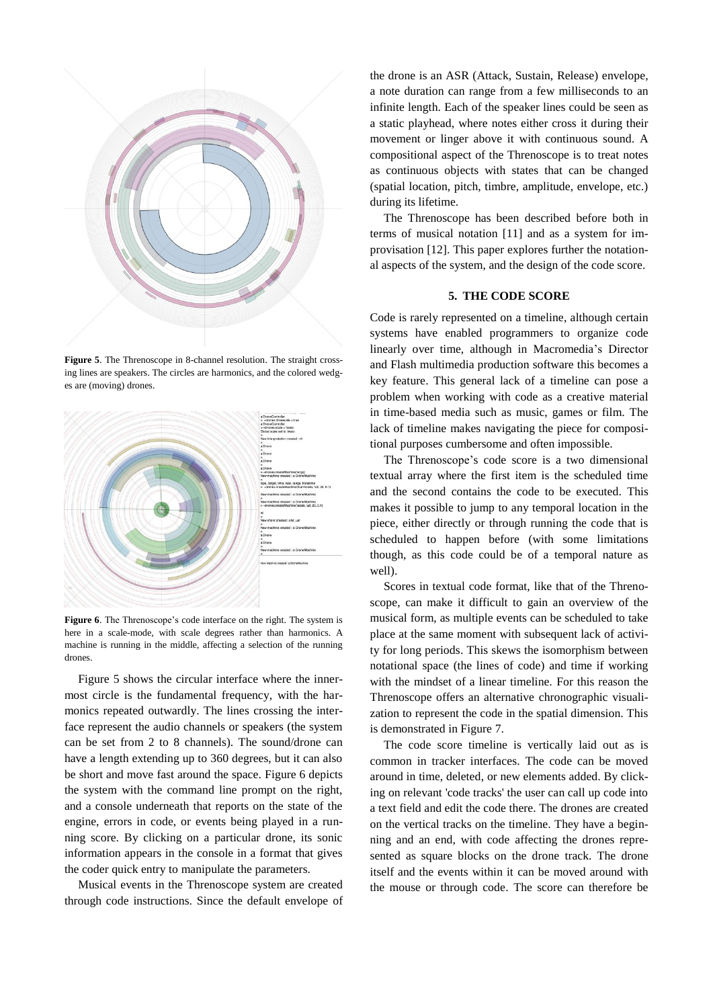

**Figure 5**. The Threnoscope in 8-channel resolution. The straight crossing lines are speakers. The circles are harmonics, and the colored wedges are (moving) drones.



**Figure 6**. The Threnoscope's code interface on the right. The system is here in a scale-mode, with scale degrees rather than harmonics. A machine is running in the middle, affecting a selection of the running drones.

Figure 5 shows the circular interface where the innermost circle is the fundamental frequency, with the harmonics repeated outwardly. The lines crossing the interface represent the audio channels or speakers (the system can be set from 2 to 8 channels). The sound/drone can have a length extending up to 360 degrees, but it can also be short and move fast around the space. Figure 6 depicts the system with the command line prompt on the right, and a console underneath that reports on the state of the engine, errors in code, or events being played in a running score. By clicking on a particular drone, its sonic information appears in the console in a format that gives the coder quick entry to manipulate the parameters.

Musical events in the Threnoscope system are created through code instructions. Since the default envelope of

the drone is an ASR (Attack, Sustain, Release) envelope, a note duration can range from a few milliseconds to an infinite length. Each of the speaker lines could be seen as a static playhead, where notes either cross it during their movement or linger above it with continuous sound. A compositional aspect of the Threnoscope is to treat notes as continuous objects with states that can be changed (spatial location, pitch, timbre, amplitude, envelope, etc.) during its lifetime.

The Threnoscope has been described before both in terms of musical notation [11] and as a system for improvisation [12]. This paper explores further the notational aspects of the system, and the design of the code score.

## **5. THE CODE SCORE**

Code is rarely represented on a timeline, although certain systems have enabled programmers to organize code linearly over time, although in Macromedia's Director and Flash multimedia production software this becomes a key feature. This general lack of a timeline can pose a problem when working with code as a creative material in time-based media such as music, games or film. The lack of timeline makes navigating the piece for compositional purposes cumbersome and often impossible.

The Threnoscope's code score is a two dimensional textual array where the first item is the scheduled time and the second contains the code to be executed. This makes it possible to jump to any temporal location in the piece, either directly or through running the code that is scheduled to happen before (with some limitations though, as this code could be of a temporal nature as well).

Scores in textual code format, like that of the Threnoscope, can make it difficult to gain an overview of the musical form, as multiple events can be scheduled to take place at the same moment with subsequent lack of activity for long periods. This skews the isomorphism between notational space (the lines of code) and time if working with the mindset of a linear timeline. For this reason the Threnoscope offers an alternative chronographic visualization to represent the code in the spatial dimension. This is demonstrated in Figure 7.

The code score timeline is vertically laid out as is common in tracker interfaces. The code can be moved around in time, deleted, or new elements added. By clicking on relevant 'code tracks' the user can call up code into a text field and edit the code there. The drones are created on the vertical tracks on the timeline. They have a beginning and an end, with code affecting the drones represented as square blocks on the drone track. The drone itself and the events within it can be moved around with the mouse or through code. The score can therefore be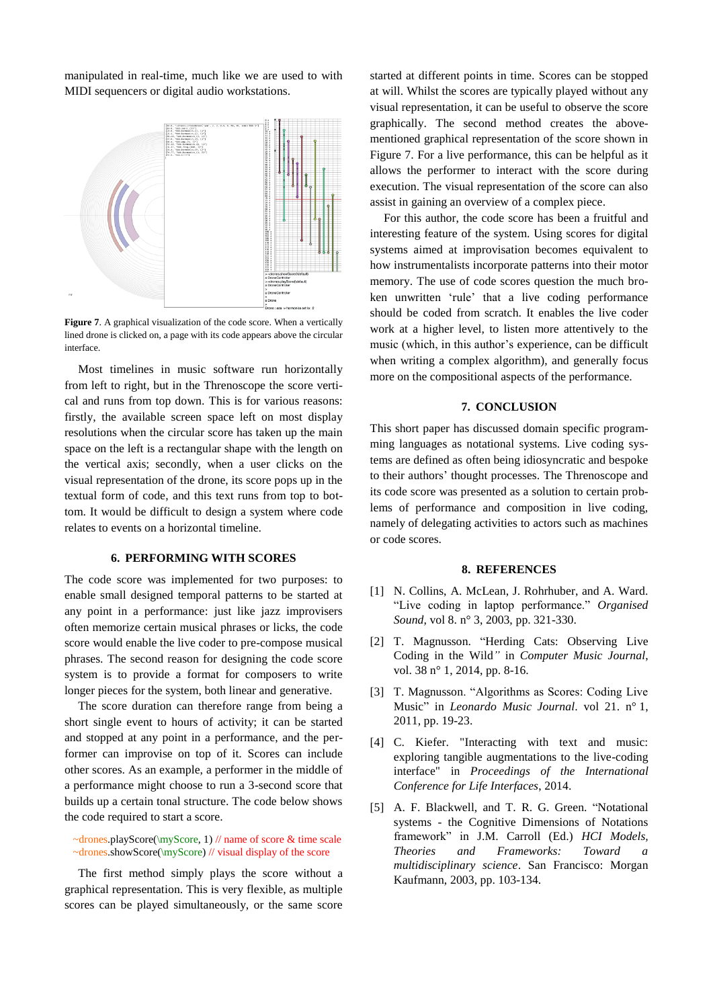manipulated in real-time, much like we are used to with MIDI sequencers or digital audio workstations.



**Figure 7.** A graphical visualization of the code score. When a vertically lined drone is clicked on, a page with its code appears above the circular interface.

Most timelines in music software run horizontally from left to right, but in the Threnoscope the score vertical and runs from top down. This is for various reasons: firstly, the available screen space left on most display resolutions when the circular score has taken up the main space on the left is a rectangular shape with the length on the vertical axis; secondly, when a user clicks on the visual representation of the drone, its score pops up in the textual form of code, and this text runs from top to bottom. It would be difficult to design a system where code relates to events on a horizontal timeline.

## **6. PERFORMING WITH SCORES**

The code score was implemented for two purposes: to enable small designed temporal patterns to be started at any point in a performance: just like jazz improvisers often memorize certain musical phrases or licks, the code score would enable the live coder to pre-compose musical phrases. The second reason for designing the code score system is to provide a format for composers to write longer pieces for the system, both linear and generative.

The score duration can therefore range from being a short single event to hours of activity; it can be started and stopped at any point in a performance, and the performer can improvise on top of it. Scores can include other scores. As an example, a performer in the middle of a performance might choose to run a 3-second score that builds up a certain tonal structure. The code below shows the code required to start a score.

~drones.playScore(\myScore, 1) // name of score & time scale ~drones.showScore(\myScore) // visual display of the score

The first method simply plays the score without a graphical representation. This is very flexible, as multiple scores can be played simultaneously, or the same score started at different points in time. Scores can be stopped at will. Whilst the scores are typically played without any visual representation, it can be useful to observe the score graphically. The second method creates the abovementioned graphical representation of the score shown in Figure 7. For a live performance, this can be helpful as it allows the performer to interact with the score during execution. The visual representation of the score can also assist in gaining an overview of a complex piece.

For this author, the code score has been a fruitful and interesting feature of the system. Using scores for digital systems aimed at improvisation becomes equivalent to how instrumentalists incorporate patterns into their motor memory. The use of code scores question the much broken unwritten 'rule' that a live coding performance should be coded from scratch. It enables the live coder work at a higher level, to listen more attentively to the music (which, in this author's experience, can be difficult when writing a complex algorithm), and generally focus more on the compositional aspects of the performance.

#### **7. CONCLUSION**

This short paper has discussed domain specific programming languages as notational systems. Live coding systems are defined as often being idiosyncratic and bespoke to their authors' thought processes. The Threnoscope and its code score was presented as a solution to certain problems of performance and composition in live coding, namely of delegating activities to actors such as machines or code scores.

#### **8. REFERENCES**

- [1] N. Collins, A. McLean, J. Rohrhuber, and A. Ward. "Live coding in laptop performance." *Organised Sound*, vol 8. n° 3, 2003, pp. 321-330.
- [2] T. Magnusson. "Herding Cats: Observing Live Coding in the Wild*"* in *Computer Music Journal*, vol. 38 n° 1, 2014, pp. 8-16.
- [3] T. Magnusson. "Algorithms as Scores: Coding Live Music" in *Leonardo Music Journal*. vol 21. n° 1, 2011, pp. 19-23.
- [4] C. Kiefer. "Interacting with text and music: exploring tangible augmentations to the live-coding interface" in *Proceedings of the International Conference for Life Interfaces*, 2014.
- [5] A. F. Blackwell, and T. R. G. Green. "Notational systems - the Cognitive Dimensions of Notations framework" in J.M. Carroll (Ed.) *HCI Models, Theories and Frameworks: Toward a multidisciplinary science*. San Francisco: Morgan Kaufmann, 2003, pp. 103-134.